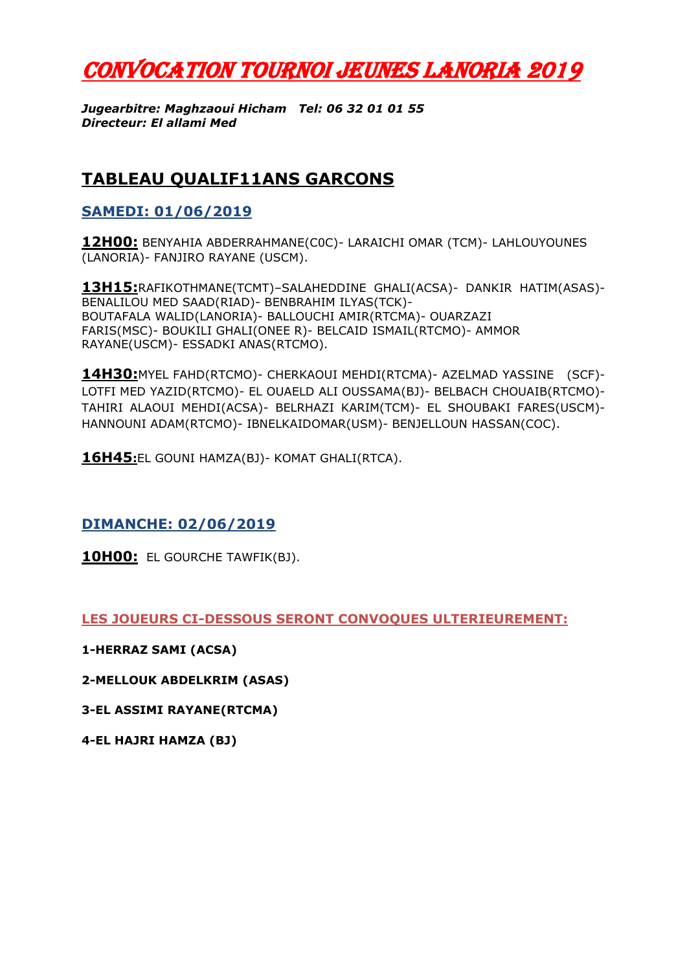# CONVOCATION TOURNOI JEUNES LANORIA 2019

*Jugearbitre: Maghzaoui Hicham Tel: 06 32 01 01 55 Directeur: El allami Med*

# **TABLEAU QUALIF11ANS GARCONS**

## **SAMEDI: 01/06/2019**

**12H00:** BENYAHIA ABDERRAHMANE(C0C)- LARAICHI OMAR (TCM)- LAHLOUYOUNES (LANORIA)- FANJIRO RAYANE (USCM).

**13H15:**RAFIKOTHMANE(TCMT)–SALAHEDDINE GHALI(ACSA)- DANKIR HATIM(ASAS)- BENALILOU MED SAAD(RIAD)- BENBRAHIM ILYAS(TCK)- BOUTAFALA WALID(LANORIA)- BALLOUCHI AMIR(RTCMA)- OUARZAZI FARIS(MSC)- BOUKILI GHALI(ONEE R)- BELCAID ISMAIL(RTCMO)- AMMOR RAYANE(USCM)- ESSADKI ANAS(RTCMO).

**14H30:**MYEL FAHD(RTCMO)- CHERKAOUI MEHDI(RTCMA)- AZELMAD YASSINE (SCF)- LOTFI MED YAZID(RTCMO)- EL OUAELD ALI OUSSAMA(BJ)- BELBACH CHOUAIB(RTCMO)- TAHIRI ALAOUI MEHDI(ACSA)- BELRHAZI KARIM(TCM)- EL SHOUBAKI FARES(USCM)- HANNOUNI ADAM(RTCMO)- IBNELKAIDOMAR(USM)- BENJELLOUN HASSAN(COC).

**16H45:**EL GOUNI HAMZA(BJ)- KOMAT GHALI(RTCA).

**DIMANCHE: 02/06/2019**

**10H00:** EL GOURCHE TAWFIK(BJ).

**LES JOUEURS CI-DESSOUS SERONT CONVOQUES ULTERIEUREMENT:**

**1-HERRAZ SAMI (ACSA)**

**2-MELLOUK ABDELKRIM (ASAS)**

**3-EL ASSIMI RAYANE(RTCMA)**

**4-EL HAJRI HAMZA (BJ)**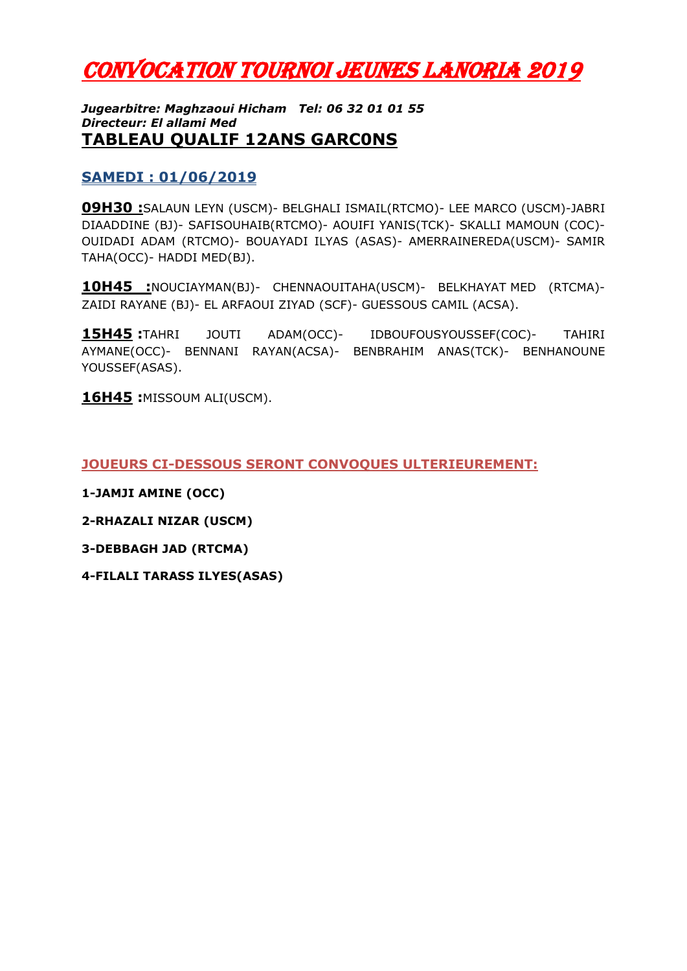# CONVOCATION TOURNOI JEUNES LANORIA 2019

#### *Jugearbitre: Maghzaoui Hicham Tel: 06 32 01 01 55 Directeur: El allami Med* **TABLEAU QUALIF 12ANS GARC0NS**

### **SAMEDI : 01/06/2019**

**09H30 :**SALAUN LEYN (USCM)- BELGHALI ISMAIL(RTCMO)- LEE MARCO (USCM)-JABRI DIAADDINE (BJ)- SAFISOUHAIB(RTCMO)- AOUIFI YANIS(TCK)- SKALLI MAMOUN (COC)- OUIDADI ADAM (RTCMO)- BOUAYADI ILYAS (ASAS)- AMERRAINEREDA(USCM)- SAMIR TAHA(OCC)- HADDI MED(BJ).

**10H45 :**NOUCIAYMAN(BJ)- CHENNAOUITAHA(USCM)- BELKHAYAT MED (RTCMA)- ZAIDI RAYANE (BJ)- EL ARFAOUI ZIYAD (SCF)- GUESSOUS CAMIL (ACSA).

**15H45 :**TAHRI JOUTI ADAM(OCC)- IDBOUFOUSYOUSSEF(COC)- TAHIRI AYMANE(OCC)- BENNANI RAYAN(ACSA)- BENBRAHIM ANAS(TCK)- BENHANOUNE YOUSSEF(ASAS).

**16H45 :**MISSOUM ALI(USCM).

**JOUEURS CI-DESSOUS SERONT CONVOQUES ULTERIEUREMENT:**

**1-JAMJI AMINE (OCC)**

**2-RHAZALI NIZAR (USCM)**

**3-DEBBAGH JAD (RTCMA)**

**4-FILALI TARASS ILYES(ASAS)**